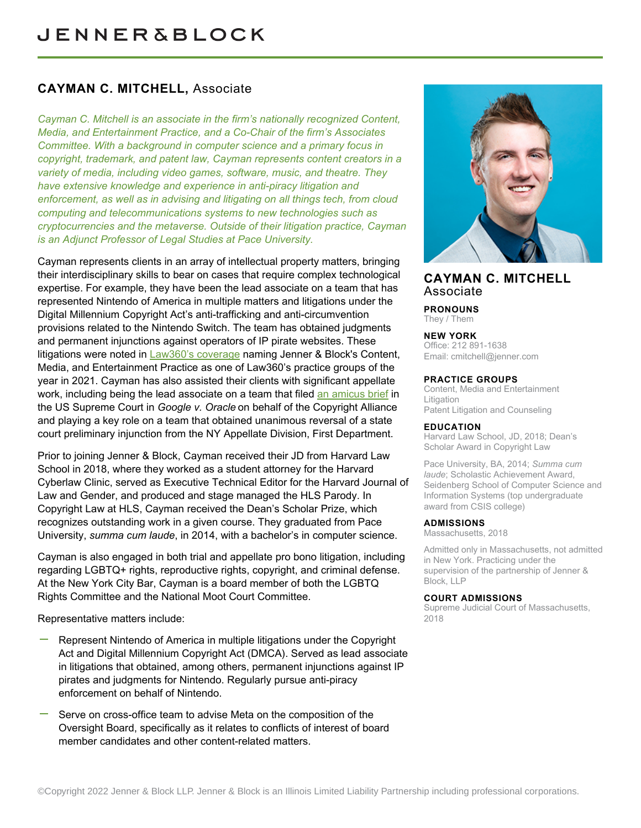## **CAYMAN C. MITCHELL,** Associate

*Cayman C. Mitchell is an associate in the firm's nationally recognized Content, Media, and Entertainment Practice, and a Co-Chair of the firm's Associates Committee. With a background in computer science and a primary focus in copyright, trademark, and patent law, Cayman represents content creators in a variety of media, including video games, software, music, and theatre. They have extensive knowledge and experience in anti-piracy litigation and enforcement, as well as in advising and litigating on all things tech, from cloud computing and telecommunications systems to new technologies such as cryptocurrencies and the metaverse. Outside of their litigation practice, Cayman is an Adjunct Professor of Legal Studies at Pace University.*

Cayman represents clients in an array of intellectual property matters, bringing their interdisciplinary skills to bear on cases that require complex technological expertise. For example, they have been the lead associate on a team that has represented Nintendo of America in multiple matters and litigations under the Digital Millennium Copyright Act's anti-trafficking and anti-circumvention provisions related to the Nintendo Switch. The team has obtained judgments and permanent injunctions against operators of IP pirate websites. These litigations were noted in [Law360's coverage](https://jenner.com/system/assets/assets/11579/original/Law360%20Media%20and%20Entertainment%20Practice%20Group%20of%20the%20Year%202021.pdf) naming Jenner & Block's Content, Media, and Entertainment Practice as one of Law360's practice groups of the year in 2021. Cayman has also assisted their clients with significant appellate work, including being the lead associate on a team that filed [an amicus brief](https://www.supremecourt.gov/DocketPDF/18/18-956/133544/20200219160726168_18-956%20bsac%20Copyright%20Alliance.pdf) in the US Supreme Court in *Google v. Oracle* on behalf of the Copyright Alliance and playing a key role on a team that obtained unanimous reversal of a state court preliminary injunction from the NY Appellate Division, First Department.

Prior to joining Jenner & Block, Cayman received their JD from Harvard Law School in 2018, where they worked as a student attorney for the Harvard Cyberlaw Clinic, served as Executive Technical Editor for the Harvard Journal of Law and Gender, and produced and stage managed the HLS Parody. In Copyright Law at HLS, Cayman received the Dean's Scholar Prize, which recognizes outstanding work in a given course. They graduated from Pace University, *summa cum laude*, in 2014, with a bachelor's in computer science.

Cayman is also engaged in both trial and appellate pro bono litigation, including regarding LGBTQ+ rights, reproductive rights, copyright, and criminal defense. At the New York City Bar, Cayman is a board member of both the LGBTQ Rights Committee and the National Moot Court Committee.

Representative matters include:

- Represent Nintendo of America in multiple litigations under the Copyright Act and Digital Millennium Copyright Act (DMCA). Served as lead associate in litigations that obtained, among others, permanent injunctions against IP pirates and judgments for Nintendo. Regularly pursue anti-piracy enforcement on behalf of Nintendo.
- Serve on cross-office team to advise Meta on the composition of the Oversight Board, specifically as it relates to conflicts of interest of board member candidates and other content-related matters.



### **CAYMAN C. MITCHELL** Associate

**PRONOUNS** They / Them

**NEW YORK**

Office: 212 891-1638 Email: [cmitchell@jenner.com](mailto:cmitchell@jenner.com)

#### **PRACTICE GROUPS**

Content, Media and Entertainment **Litigation** Patent Litigation and Counseling

#### **EDUCATION**

Harvard Law School, JD, 2018; Dean's Scholar Award in Copyright Law

Pace University, BA, 2014; *Summa cum laude*; Scholastic Achievement Award, Seidenberg School of Computer Science and Information Systems (top undergraduate award from CSIS college)

#### **ADMISSIONS**

Massachusetts, 2018

Admitted only in Massachusetts, not admitted in New York. Practicing under the supervision of the partnership of Jenner & Block, LLP

#### **COURT ADMISSIONS**

Supreme Judicial Court of Massachusetts, 2018